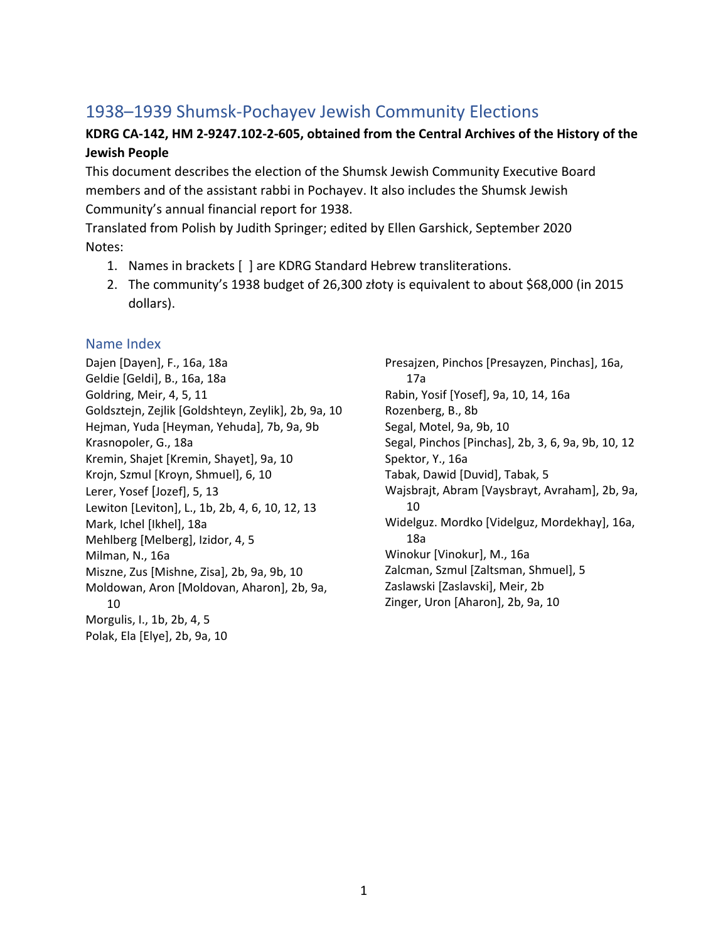# 1938–1939 Shumsk-Pochayev Jewish Community Elections

### **KDRG CA-142, HM 2-9247.102-2-605, obtained from the Central Archives of the History of the Jewish People**

This document describes the election of the Shumsk Jewish Community Executive Board members and of the assistant rabbi in Pochayev. It also includes the Shumsk Jewish Community's annual financial report for 1938.

Translated from Polish by Judith Springer; edited by Ellen Garshick, September 2020 Notes:

- 1. Names in brackets [ ] are KDRG Standard Hebrew transliterations.
- 2. The community's 1938 budget of 26,300 złoty is equivalent to about \$68,000 (in 2015 dollars).

#### Name Index

Dajen [Dayen], F., 16a, 18a Geldie [Geldi], B., 16a, 18a Goldring, Meir, 4, 5, 11 Goldsztejn, Zejlik [Goldshteyn, Zeylik], 2b, 9a, 10 Hejman, Yuda [Heyman, Yehuda], 7b, 9a, 9b Krasnopoler, G., 18a Kremin, Shajet [Kremin, Shayet], 9a, 10 Krojn, Szmul [Kroyn, Shmuel], 6, 10 Lerer, Yosef [Jozef], 5, 13 Lewiton [Leviton], L., 1b, 2b, 4, 6, 10, 12, 13 Mark, Ichel [Ikhel], 18a Mehlberg [Melberg], Izidor, 4, 5 Milman, N., 16a Miszne, Zus [Mishne, Zisa], 2b, 9a, 9b, 10 Moldowan, Aron [Moldovan, Aharon], 2b, 9a, 10 Morgulis, I., 1b, 2b, 4, 5 Polak, Ela [Elye], 2b, 9a, 10

Presajzen, Pinchos [Presayzen, Pinchas], 16a, 17a Rabin, Yosif [Yosef], 9a, 10, 14, 16a Rozenberg, B., 8b Segal, Motel, 9a, 9b, 10 Segal, Pinchos [Pinchas], 2b, 3, 6, 9a, 9b, 10, 12 Spektor, Y., 16a Tabak, Dawid [Duvid], Tabak, 5 Wajsbrajt, Abram [Vaysbrayt, Avraham], 2b, 9a, 10 Widelguz. Mordko [Videlguz, Mordekhay], 16a, 18a Winokur [Vinokur], M., 16a Zalcman, Szmul [Zaltsman, Shmuel], 5 Zaslawski [Zaslavski], Meir, 2b Zinger, Uron [Aharon], 2b, 9a, 10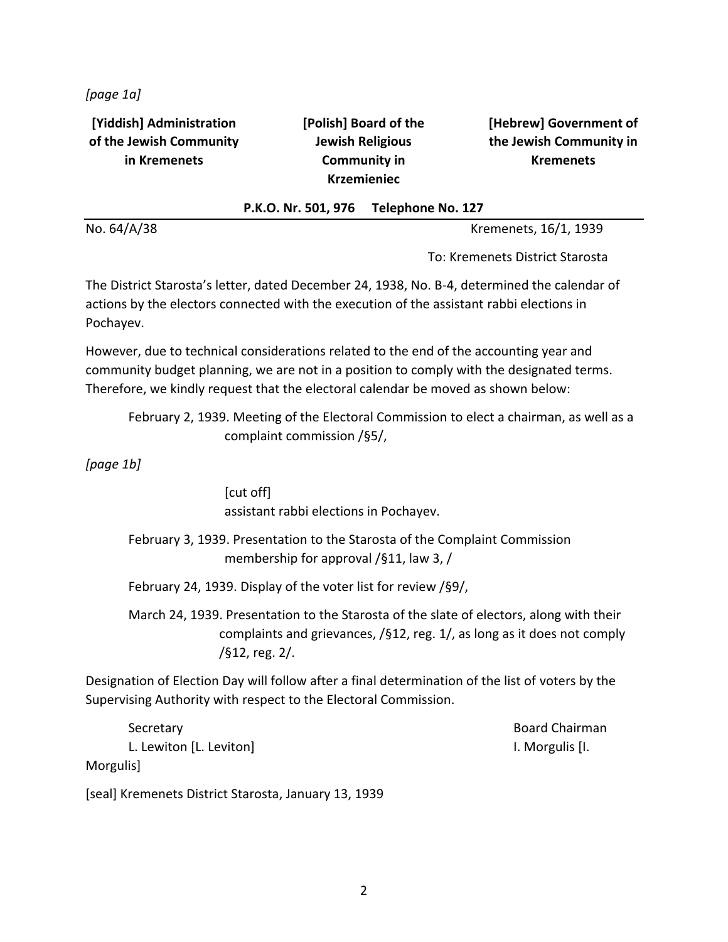*[page 1a]*

**[Yiddish] Administration of the Jewish Community in Kremenets**

**[Polish] Board of the Jewish Religious Community in Krzemieniec**

**[Hebrew] Government of the Jewish Community in Kremenets**

#### **P.K.O. Nr. 501, 976 Telephone No. 127**

No. 64/A/38 Kremenets, 16/1, 1939

To: Kremenets District Starosta

The District Starosta's letter, dated December 24, 1938, No. B-4, determined the calendar of actions by the electors connected with the execution of the assistant rabbi elections in Pochayev.

However, due to technical considerations related to the end of the accounting year and community budget planning, we are not in a position to comply with the designated terms. Therefore, we kindly request that the electoral calendar be moved as shown below:

February 2, 1939. Meeting of the Electoral Commission to elect a chairman, as well as a complaint commission /§5/,

*[page 1b]*

[cut off] assistant rabbi elections in Pochayev.

February 3, 1939. Presentation to the Starosta of the Complaint Commission membership for approval /§11, law 3, /

February 24, 1939. Display of the voter list for review /§9/,

March 24, 1939. Presentation to the Starosta of the slate of electors, along with their complaints and grievances, /§12, reg. 1/, as long as it does not comply /§12, reg. 2/.

Designation of Election Day will follow after a final determination of the list of voters by the Supervising Authority with respect to the Electoral Commission.

Secretary **Board Chairman** L. Lewiton [L. Leviton] **I.** Lewiton **I.** Lewiton **I.** Morgulis [I.

Morgulis]

[seal] Kremenets District Starosta, January 13, 1939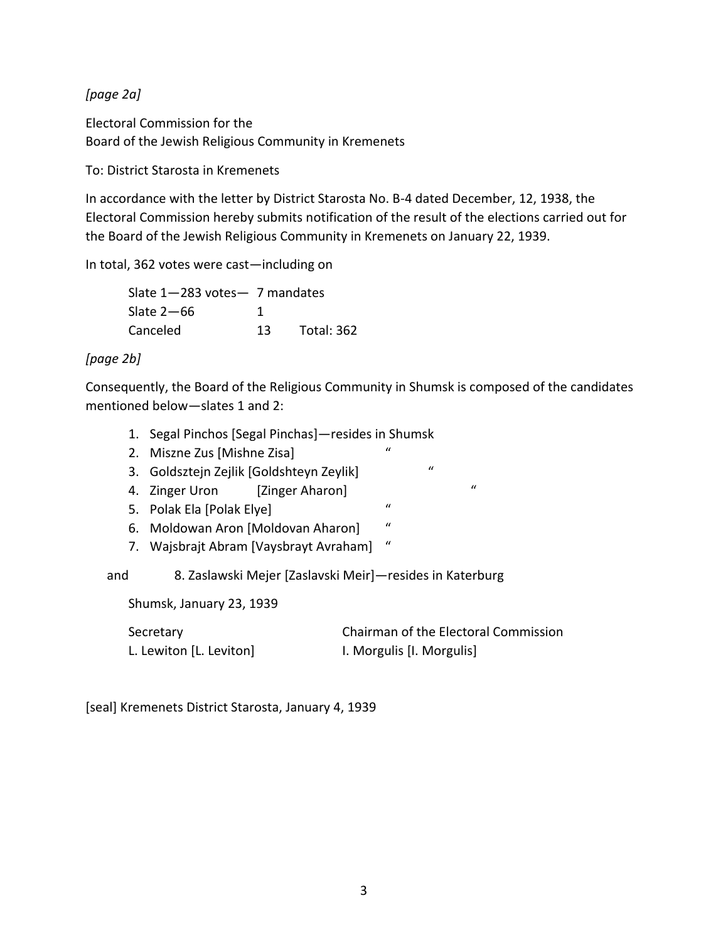*[page 2a]*

Electoral Commission for the Board of the Jewish Religious Community in Kremenets

To: District Starosta in Kremenets

In accordance with the letter by District Starosta No. B-4 dated December, 12, 1938, the Electoral Commission hereby submits notification of the result of the elections carried out for the Board of the Jewish Religious Community in Kremenets on January 22, 1939.

In total, 362 votes were cast—including on

Slate 1—283 votes— 7 mandates Slate  $2-66$  1 Canceled 13 Total: 362

#### *[page 2b]*

Consequently, the Board of the Religious Community in Shumsk is composed of the candidates mentioned below—slates 1 and 2:

- 1. Segal Pinchos [Segal Pinchas]—resides in Shumsk
- 2. Miszne Zus [Mishne Zisa] "
- 3. Goldsztejn Zejlik [Goldshteyn Zeylik] "
- 4. Zinger Uron [Zinger Aharon]  $\blacksquare$
- 5. Polak Ela [Polak Elye] "
- 6. Moldowan Aron [Moldovan Aharon] "
- 7. Wajsbrajt Abram [Vaysbrayt Avraham] "

and 8. Zaslawski Mejer [Zaslavski Meir]—resides in Katerburg

Shumsk, January 23, 1939

| Secretary               | Chairman of the Electoral Commission |
|-------------------------|--------------------------------------|
| L. Lewiton [L. Leviton] | I. Morgulis [I. Morgulis]            |

[seal] Kremenets District Starosta, January 4, 1939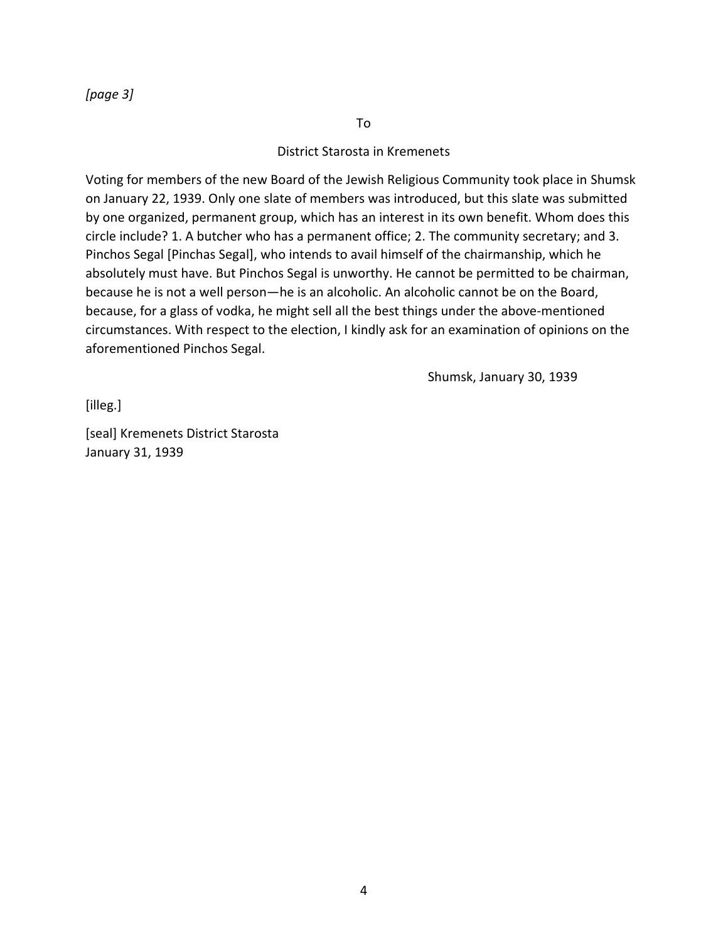*[page 3]*

To

#### District Starosta in Kremenets

Voting for members of the new Board of the Jewish Religious Community took place in Shumsk on January 22, 1939. Only one slate of members was introduced, but this slate was submitted by one organized, permanent group, which has an interest in its own benefit. Whom does this circle include? 1. A butcher who has a permanent office; 2. The community secretary; and 3. Pinchos Segal [Pinchas Segal], who intends to avail himself of the chairmanship, which he absolutely must have. But Pinchos Segal is unworthy. He cannot be permitted to be chairman, because he is not a well person—he is an alcoholic. An alcoholic cannot be on the Board, because, for a glass of vodka, he might sell all the best things under the above-mentioned circumstances. With respect to the election, I kindly ask for an examination of opinions on the aforementioned Pinchos Segal.

Shumsk, January 30, 1939

[illeg.]

[seal] Kremenets District Starosta January 31, 1939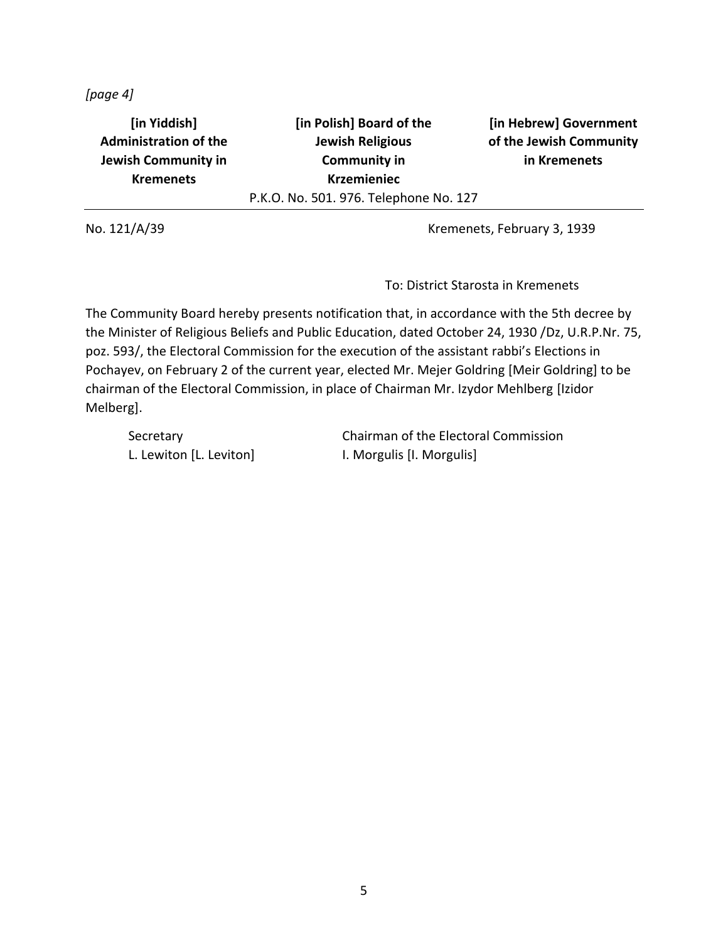*[page 4]*

**[in Yiddish] Administration of the Jewish Community in Kremenets [in Polish] Board of the Jewish Religious Community in Krzemieniec** P.K.O. No. 501. 976. Telephone No. 127

**[in Hebrew] Government of the Jewish Community in Kremenets**

No. 121/A/39 Kremenets, February 3, 1939

To: District Starosta in Kremenets

The Community Board hereby presents notification that, in accordance with the 5th decree by the Minister of Religious Beliefs and Public Education, dated October 24, 1930 /Dz, U.R.P.Nr. 75, poz. 593/, the Electoral Commission for the execution of the assistant rabbi's Elections in Pochayev, on February 2 of the current year, elected Mr. Mejer Goldring [Meir Goldring] to be chairman of the Electoral Commission, in place of Chairman Mr. Izydor Mehlberg [Izidor Melberg].

L. Lewiton [L. Leviton] I. Morgulis [I. Morgulis]

Secretary **Chairman of the Electoral Commission**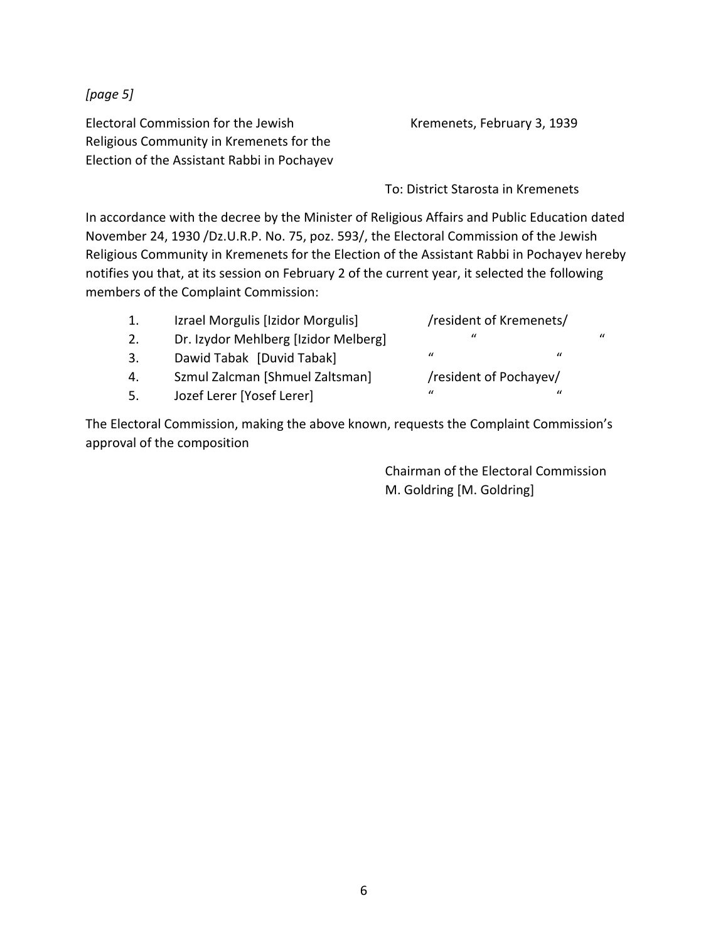*[page 5]*

Electoral Commission for the Jewish Religious Community in Kremenets for the Election of the Assistant Rabbi in Pochayev Kremenets, February 3, 1939

To: District Starosta in Kremenets

In accordance with the decree by the Minister of Religious Affairs and Public Education dated November 24, 1930 /Dz.U.R.P. No. 75, poz. 593/, the Electoral Commission of the Jewish Religious Community in Kremenets for the Election of the Assistant Rabbi in Pochayev hereby notifies you that, at its session on February 2 of the current year, it selected the following members of the Complaint Commission:

| 1. | Izrael Morgulis [Izidor Morgulis]    | /resident of Kremenets/ |                |   |
|----|--------------------------------------|-------------------------|----------------|---|
| 2. | Dr. Izydor Mehlberg [Izidor Melberg] | $\prime\prime$          |                | " |
| 3. | Dawid Tabak [Duvid Tabak]            | $\mathcal{U}$           | $\prime\prime$ |   |
| 4. | Szmul Zalcman [Shmuel Zaltsman]      | /resident of Pochayev/  |                |   |
| 5. | Jozef Lerer [Yosef Lerer]            | $\iota$                 | $\prime\prime$ |   |
|    |                                      |                         |                |   |

The Electoral Commission, making the above known, requests the Complaint Commission's approval of the composition

> Chairman of the Electoral Commission M. Goldring [M. Goldring]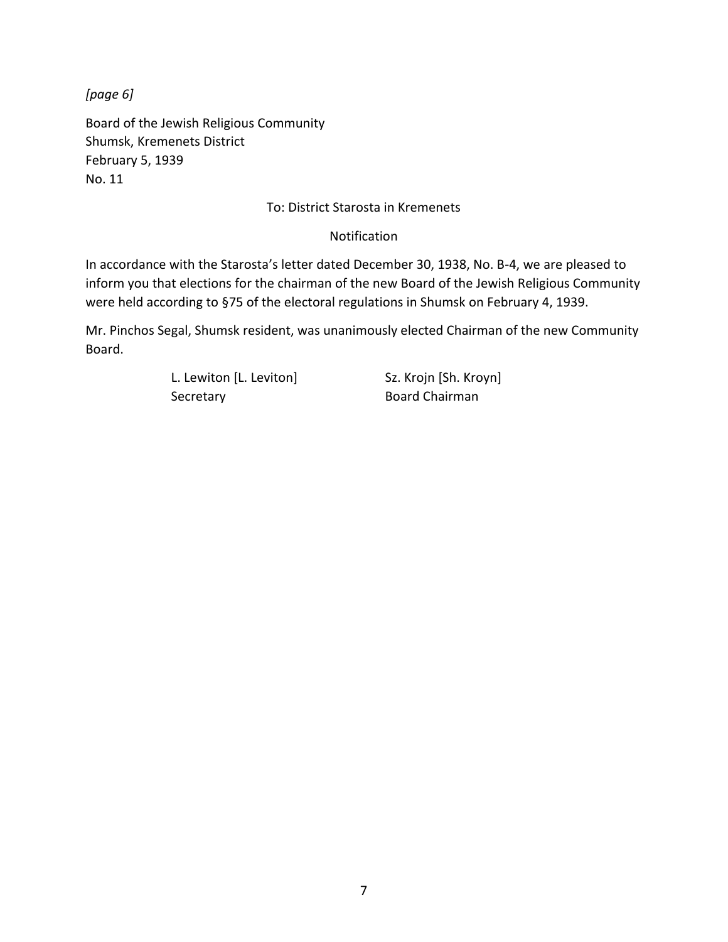*[page 6]*

Board of the Jewish Religious Community Shumsk, Kremenets District February 5, 1939 No. 11

#### To: District Starosta in Kremenets

#### Notification

In accordance with the Starosta's letter dated December 30, 1938, No. B-4, we are pleased to inform you that elections for the chairman of the new Board of the Jewish Religious Community were held according to §75 of the electoral regulations in Shumsk on February 4, 1939.

Mr. Pinchos Segal, Shumsk resident, was unanimously elected Chairman of the new Community Board.

> L. Lewiton [L. Leviton] Sz. Krojn [Sh. Kroyn] Secretary **Board Chairman**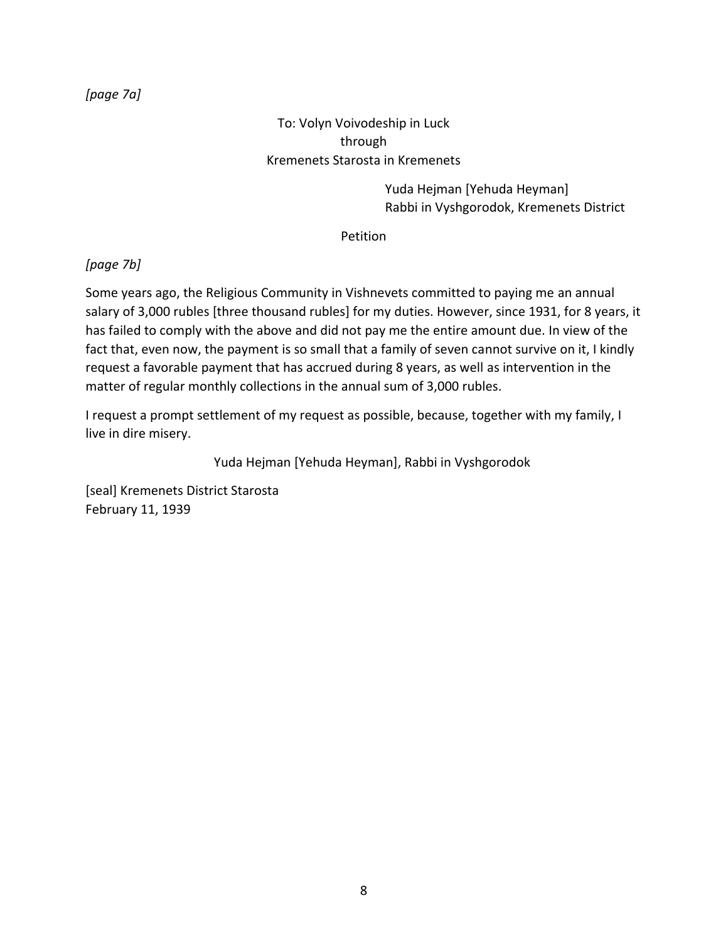#### *[page 7a]*

### To: Volyn Voivodeship in Luck through Kremenets Starosta in Kremenets

Yuda Hejman [Yehuda Heyman] Rabbi in Vyshgorodok, Kremenets District

Petition

#### *[page 7b]*

Some years ago, the Religious Community in Vishnevets committed to paying me an annual salary of 3,000 rubles [three thousand rubles] for my duties. However, since 1931, for 8 years, it has failed to comply with the above and did not pay me the entire amount due. In view of the fact that, even now, the payment is so small that a family of seven cannot survive on it, I kindly request a favorable payment that has accrued during 8 years, as well as intervention in the matter of regular monthly collections in the annual sum of 3,000 rubles.

I request a prompt settlement of my request as possible, because, together with my family, I live in dire misery.

Yuda Hejman [Yehuda Heyman], Rabbi in Vyshgorodok

[seal] Kremenets District Starosta February 11, 1939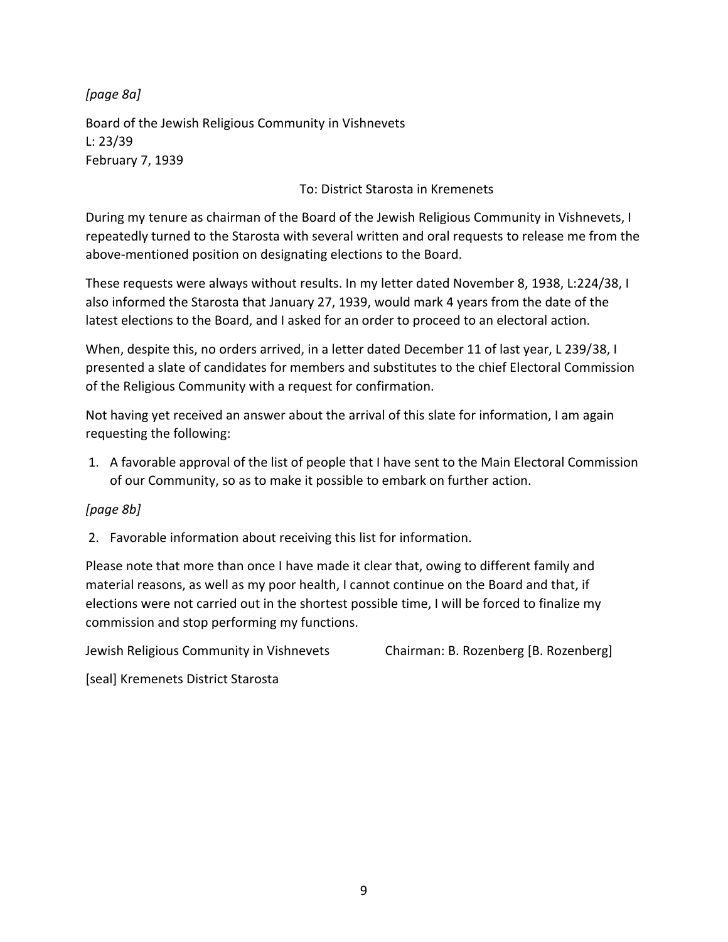*[page 8a]*

Board of the Jewish Religious Community in Vishnevets L: 23/39 February 7, 1939

To: District Starosta in Kremenets

During my tenure as chairman of the Board of the Jewish Religious Community in Vishnevets, I repeatedly turned to the Starosta with several written and oral requests to release me from the above-mentioned position on designating elections to the Board.

These requests were always without results. In my letter dated November 8, 1938, L:224/38, I also informed the Starosta that January 27, 1939, would mark 4 years from the date of the latest elections to the Board, and I asked for an order to proceed to an electoral action.

When, despite this, no orders arrived, in a letter dated December 11 of last year, L 239/38, I presented a slate of candidates for members and substitutes to the chief Electoral Commission of the Religious Community with a request for confirmation.

Not having yet received an answer about the arrival of this slate for information, I am again requesting the following:

1. A favorable approval of the list of people that I have sent to the Main Electoral Commission of our Community, so as to make it possible to embark on further action.

#### *[page 8b]*

2. Favorable information about receiving this list for information.

Please note that more than once I have made it clear that, owing to different family and material reasons, as well as my poor health, I cannot continue on the Board and that, if elections were not carried out in the shortest possible time, I will be forced to finalize my commission and stop performing my functions.

Jewish Religious Community in Vishnevets Chairman: B. Rozenberg [B. Rozenberg]

[seal] Kremenets District Starosta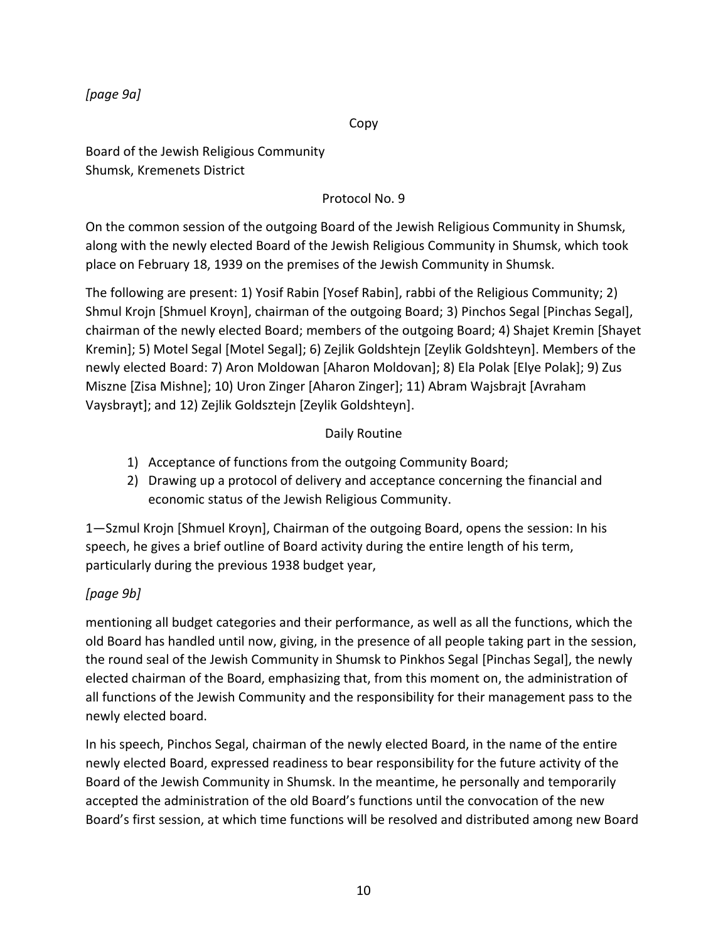*[page 9a]*

Copy

Board of the Jewish Religious Community Shumsk, Kremenets District

### Protocol No. 9

On the common session of the outgoing Board of the Jewish Religious Community in Shumsk, along with the newly elected Board of the Jewish Religious Community in Shumsk, which took place on February 18, 1939 on the premises of the Jewish Community in Shumsk.

The following are present: 1) Yosif Rabin [Yosef Rabin], rabbi of the Religious Community; 2) Shmul Krojn [Shmuel Kroyn], chairman of the outgoing Board; 3) Pinchos Segal [Pinchas Segal], chairman of the newly elected Board; members of the outgoing Board; 4) Shajet Kremin [Shayet Kremin]; 5) Motel Segal [Motel Segal]; 6) Zejlik Goldshtejn [Zeylik Goldshteyn]. Members of the newly elected Board: 7) Aron Moldowan [Aharon Moldovan]; 8) Ela Polak [Elye Polak]; 9) Zus Miszne [Zisa Mishne]; 10) Uron Zinger [Aharon Zinger]; 11) Abram Wajsbrajt [Avraham Vaysbrayt]; and 12) Zejlik Goldsztejn [Zeylik Goldshteyn].

### Daily Routine

- 1) Acceptance of functions from the outgoing Community Board;
- 2) Drawing up a protocol of delivery and acceptance concerning the financial and economic status of the Jewish Religious Community.

1—Szmul Krojn [Shmuel Kroyn], Chairman of the outgoing Board, opens the session: In his speech, he gives a brief outline of Board activity during the entire length of his term, particularly during the previous 1938 budget year,

### *[page 9b]*

mentioning all budget categories and their performance, as well as all the functions, which the old Board has handled until now, giving, in the presence of all people taking part in the session, the round seal of the Jewish Community in Shumsk to Pinkhos Segal [Pinchas Segal], the newly elected chairman of the Board, emphasizing that, from this moment on, the administration of all functions of the Jewish Community and the responsibility for their management pass to the newly elected board.

In his speech, Pinchos Segal, chairman of the newly elected Board, in the name of the entire newly elected Board, expressed readiness to bear responsibility for the future activity of the Board of the Jewish Community in Shumsk. In the meantime, he personally and temporarily accepted the administration of the old Board's functions until the convocation of the new Board's first session, at which time functions will be resolved and distributed among new Board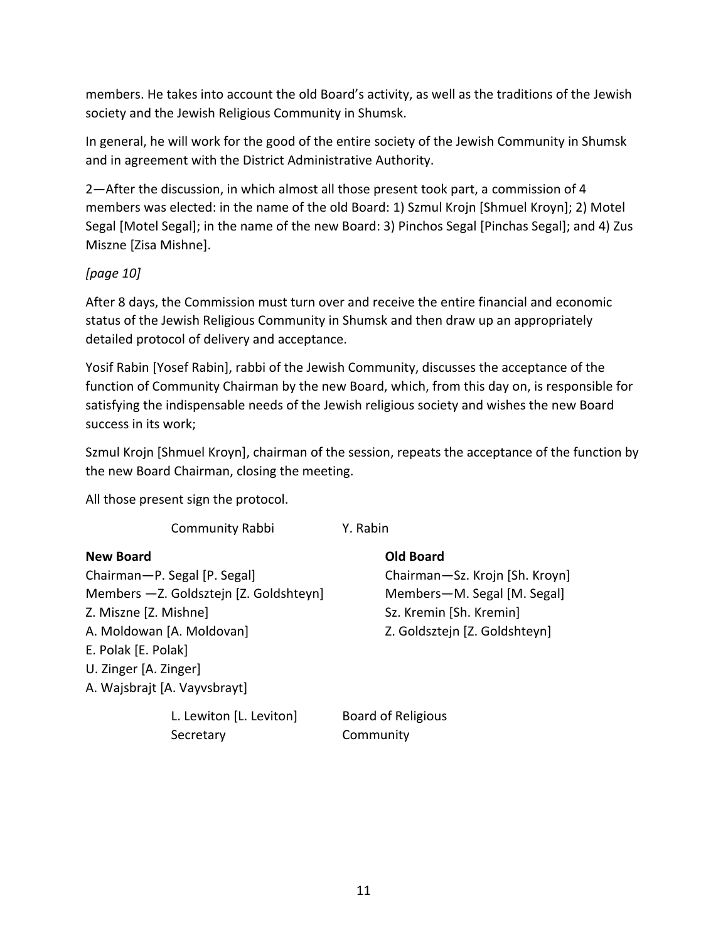members. He takes into account the old Board's activity, as well as the traditions of the Jewish society and the Jewish Religious Community in Shumsk.

In general, he will work for the good of the entire society of the Jewish Community in Shumsk and in agreement with the District Administrative Authority.

2—After the discussion, in which almost all those present took part, a commission of 4 members was elected: in the name of the old Board: 1) Szmul Krojn [Shmuel Kroyn]; 2) Motel Segal [Motel Segal]; in the name of the new Board: 3) Pinchos Segal [Pinchas Segal]; and 4) Zus Miszne [Zisa Mishne].

### *[page 10]*

After 8 days, the Commission must turn over and receive the entire financial and economic status of the Jewish Religious Community in Shumsk and then draw up an appropriately detailed protocol of delivery and acceptance.

Yosif Rabin [Yosef Rabin], rabbi of the Jewish Community, discusses the acceptance of the function of Community Chairman by the new Board, which, from this day on, is responsible for satisfying the indispensable needs of the Jewish religious society and wishes the new Board success in its work;

Szmul Krojn [Shmuel Kroyn], chairman of the session, repeats the acceptance of the function by the new Board Chairman, closing the meeting.

All those present sign the protocol.

Community Rabbi Y. Rabin

| <b>New Board</b>                        | <b>Old Board</b>               |  |  |
|-----------------------------------------|--------------------------------|--|--|
| Chairman-P. Segal [P. Segal]            | Chairman-Sz. Krojn [Sh. Kroyn] |  |  |
| Members - Z. Goldsztejn [Z. Goldshteyn] | Members-M. Segal [M. Segal]    |  |  |
| Z. Miszne [Z. Mishne]                   | Sz. Kremin [Sh. Kremin]        |  |  |
| A. Moldowan [A. Moldovan]               | Z. Goldsztejn [Z. Goldshteyn]  |  |  |
| E. Polak [E. Polak]                     |                                |  |  |
| U. Zinger [A. Zinger]                   |                                |  |  |
| A. Wajsbrajt [A. Vayvsbrayt]            |                                |  |  |
| L. Lewiton [L. Leviton]                 | <b>Board of Religious</b>      |  |  |

Secretary Community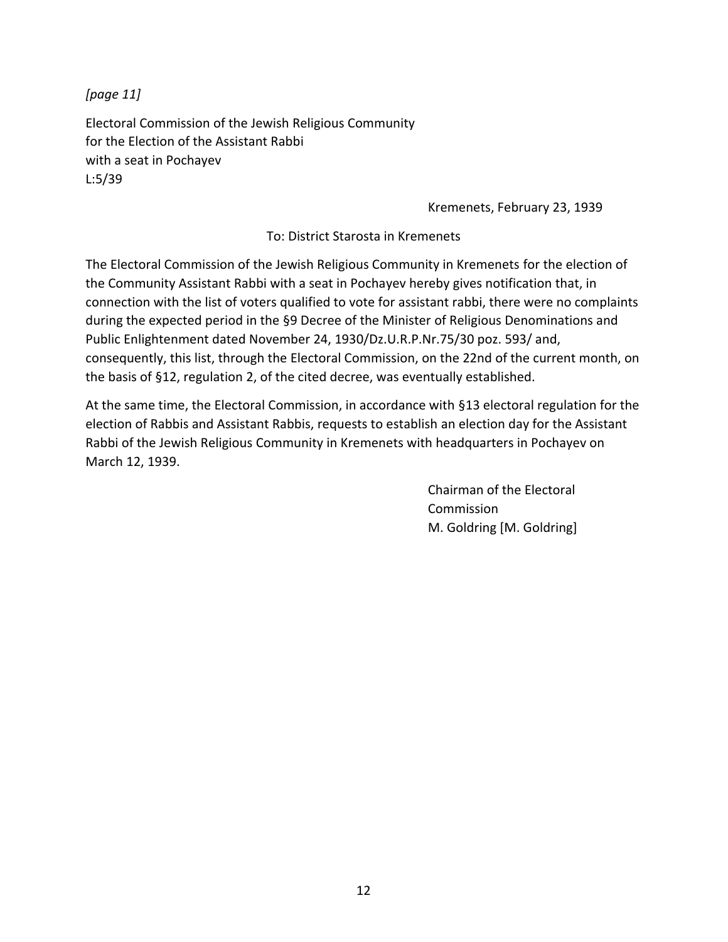*[page 11]*

Electoral Commission of the Jewish Religious Community for the Election of the Assistant Rabbi with a seat in Pochayev L:5/39

Kremenets, February 23, 1939

To: District Starosta in Kremenets

The Electoral Commission of the Jewish Religious Community in Kremenets for the election of the Community Assistant Rabbi with a seat in Pochayev hereby gives notification that, in connection with the list of voters qualified to vote for assistant rabbi, there were no complaints during the expected period in the §9 Decree of the Minister of Religious Denominations and Public Enlightenment dated November 24, 1930/Dz.U.R.P.Nr.75/30 poz. 593/ and, consequently, this list, through the Electoral Commission, on the 22nd of the current month, on the basis of §12, regulation 2, of the cited decree, was eventually established.

At the same time, the Electoral Commission, in accordance with §13 electoral regulation for the election of Rabbis and Assistant Rabbis, requests to establish an election day for the Assistant Rabbi of the Jewish Religious Community in Kremenets with headquarters in Pochayev on March 12, 1939.

> Chairman of the Electoral Commission M. Goldring [M. Goldring]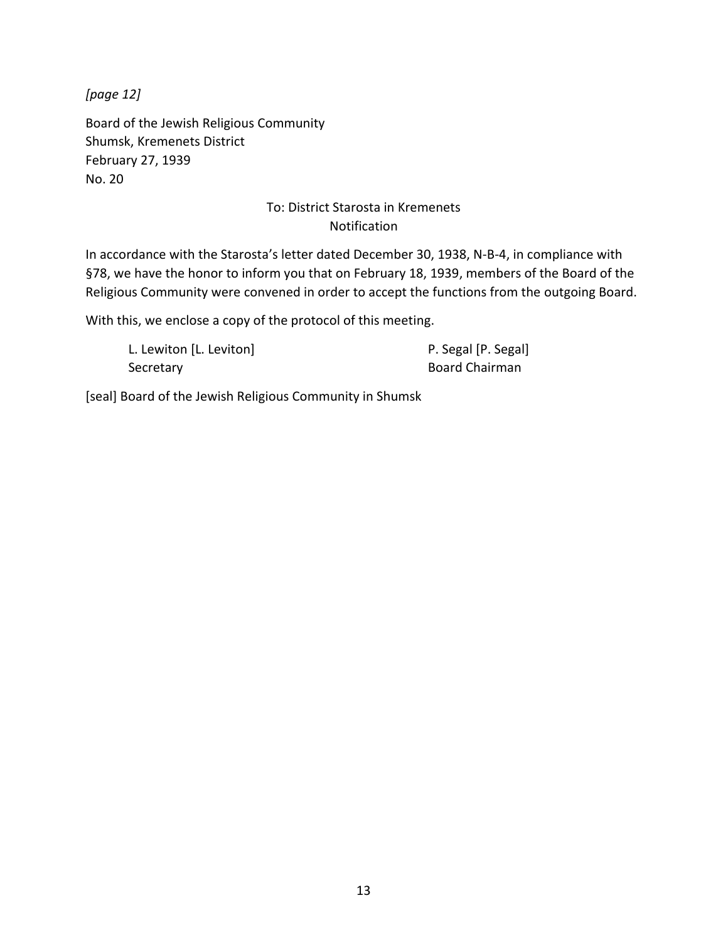*[page 12]*

Board of the Jewish Religious Community Shumsk, Kremenets District February 27, 1939 No. 20

### To: District Starosta in Kremenets Notification

In accordance with the Starosta's letter dated December 30, 1938, N-B-4, in compliance with §78, we have the honor to inform you that on February 18, 1939, members of the Board of the Religious Community were convened in order to accept the functions from the outgoing Board.

With this, we enclose a copy of the protocol of this meeting.

| L. Lewiton [L. Leviton] | P. Segal [P. Segal] |
|-------------------------|---------------------|
| Secretary               | Board Chairman      |

[seal] Board of the Jewish Religious Community in Shumsk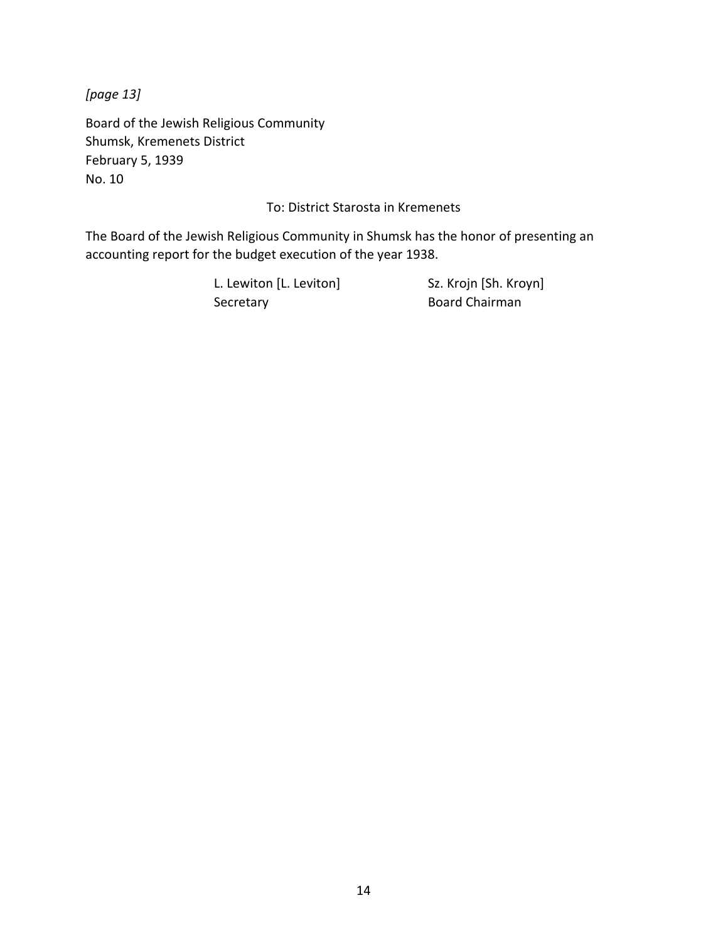*[page 13]*

Board of the Jewish Religious Community Shumsk, Kremenets District February 5, 1939 No. 10

To: District Starosta in Kremenets

The Board of the Jewish Religious Community in Shumsk has the honor of presenting an accounting report for the budget execution of the year 1938.

> L. Lewiton [L. Leviton] Sz. Krojn [Sh. Kroyn] Secretary **Board Chairman**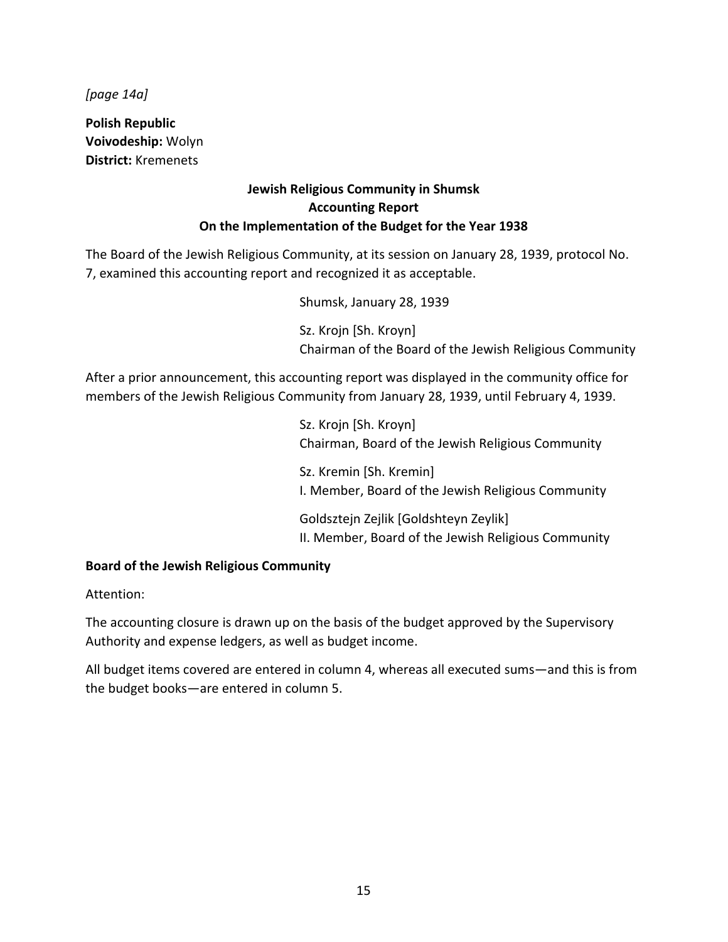*[page 14a]*

**Polish Republic Voivodeship:** Wolyn **District:** Kremenets

#### **Jewish Religious Community in Shumsk Accounting Report On the Implementation of the Budget for the Year 1938**

The Board of the Jewish Religious Community, at its session on January 28, 1939, protocol No. 7, examined this accounting report and recognized it as acceptable.

Shumsk, January 28, 1939

Sz. Krojn [Sh. Kroyn] Chairman of the Board of the Jewish Religious Community

After a prior announcement, this accounting report was displayed in the community office for members of the Jewish Religious Community from January 28, 1939, until February 4, 1939.

> Sz. Krojn [Sh. Kroyn] Chairman, Board of the Jewish Religious Community Sz. Kremin [Sh. Kremin] I. Member, Board of the Jewish Religious Community Goldsztejn Zejlik [Goldshteyn Zeylik]

> II. Member, Board of the Jewish Religious Community

#### **Board of the Jewish Religious Community**

Attention:

The accounting closure is drawn up on the basis of the budget approved by the Supervisory Authority and expense ledgers, as well as budget income.

All budget items covered are entered in column 4, whereas all executed sums—and this is from the budget books—are entered in column 5.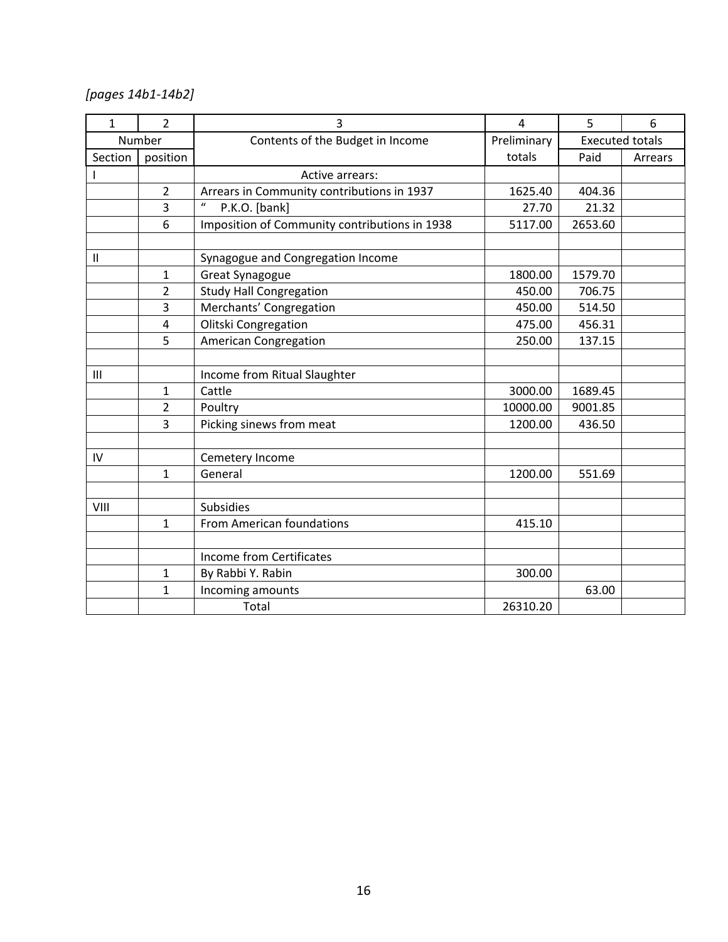# *[pages 14b1-14b2]*

| $\mathbf{1}$   | $\overline{2}$ | 3                                               | 4        | 5                      | 6       |
|----------------|----------------|-------------------------------------------------|----------|------------------------|---------|
|                | Number         | Contents of the Budget in Income<br>Preliminary |          | <b>Executed totals</b> |         |
| Section        | position       |                                                 | totals   | Paid                   | Arrears |
|                |                | Active arrears:                                 |          |                        |         |
|                | $\overline{2}$ | Arrears in Community contributions in 1937      | 1625.40  | 404.36                 |         |
|                | 3              | $\mathcal{U}$<br>P.K.O. [bank]                  | 27.70    | 21.32                  |         |
|                | 6              | Imposition of Community contributions in 1938   | 5117.00  | 2653.60                |         |
|                |                |                                                 |          |                        |         |
| $\mathbf{I}$   |                | Synagogue and Congregation Income               |          |                        |         |
|                | $\mathbf{1}$   | <b>Great Synagogue</b>                          | 1800.00  | 1579.70                |         |
|                | $\overline{2}$ | <b>Study Hall Congregation</b>                  | 450.00   | 706.75                 |         |
|                | 3              | Merchants' Congregation                         | 450.00   | 514.50                 |         |
|                | $\overline{4}$ | Olitski Congregation                            | 475.00   | 456.31                 |         |
|                | 5              | <b>American Congregation</b>                    | 250.00   | 137.15                 |         |
|                |                |                                                 |          |                        |         |
| $\mathbf{III}$ |                | Income from Ritual Slaughter                    |          |                        |         |
|                | 1              | Cattle                                          | 3000.00  | 1689.45                |         |
|                | $\overline{2}$ | Poultry                                         | 10000.00 | 9001.85                |         |
|                | 3              | Picking sinews from meat                        | 1200.00  | 436.50                 |         |
|                |                |                                                 |          |                        |         |
| IV             |                | Cemetery Income                                 |          |                        |         |
|                | $\mathbf{1}$   | General                                         | 1200.00  | 551.69                 |         |
|                |                |                                                 |          |                        |         |
| VIII           |                | <b>Subsidies</b>                                |          |                        |         |
|                | $\mathbf{1}$   | From American foundations                       | 415.10   |                        |         |
|                |                |                                                 |          |                        |         |
|                |                | Income from Certificates                        |          |                        |         |
|                | $\mathbf{1}$   | By Rabbi Y. Rabin                               | 300.00   |                        |         |
|                | 1              | Incoming amounts                                |          | 63.00                  |         |
|                |                | Total                                           | 26310.20 |                        |         |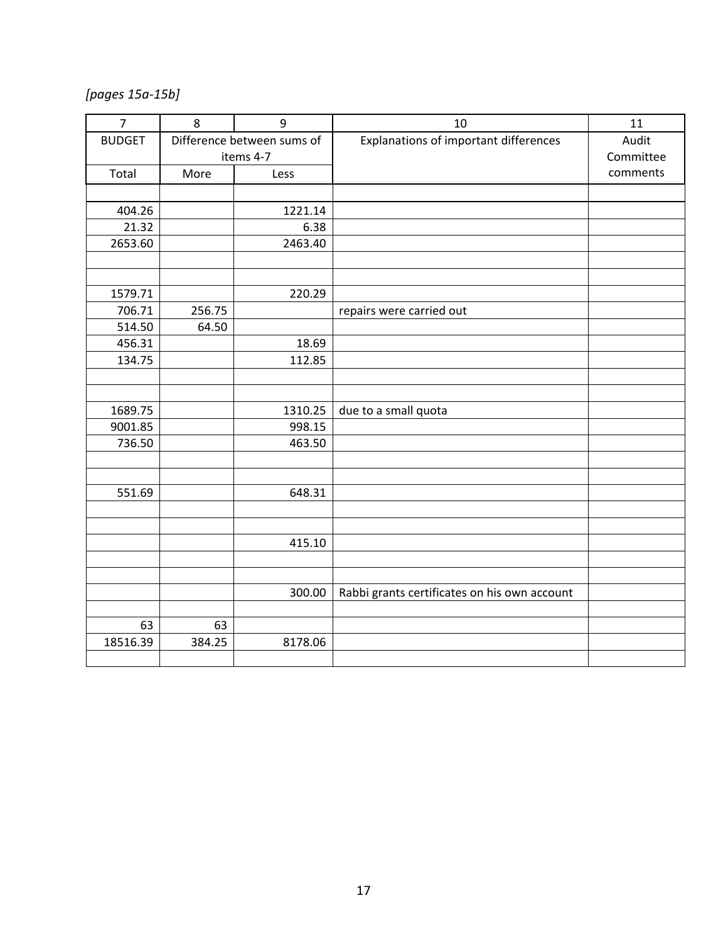*[pages 15a-15b]*

| $\overline{7}$ | 8      | 9                          | 10                                           | 11        |
|----------------|--------|----------------------------|----------------------------------------------|-----------|
| <b>BUDGET</b>  |        | Difference between sums of | Explanations of important differences        | Audit     |
|                |        | items 4-7                  |                                              | Committee |
| Total          | More   | Less                       |                                              | comments  |
|                |        |                            |                                              |           |
| 404.26         |        | 1221.14                    |                                              |           |
| 21.32          |        | 6.38                       |                                              |           |
| 2653.60        |        | 2463.40                    |                                              |           |
|                |        |                            |                                              |           |
|                |        |                            |                                              |           |
| 1579.71        |        | 220.29                     |                                              |           |
| 706.71         | 256.75 |                            | repairs were carried out                     |           |
| 514.50         | 64.50  |                            |                                              |           |
| 456.31         |        | 18.69                      |                                              |           |
| 134.75         |        | 112.85                     |                                              |           |
|                |        |                            |                                              |           |
|                |        |                            |                                              |           |
| 1689.75        |        | 1310.25                    | due to a small quota                         |           |
| 9001.85        |        | 998.15                     |                                              |           |
| 736.50         |        | 463.50                     |                                              |           |
|                |        |                            |                                              |           |
|                |        |                            |                                              |           |
| 551.69         |        | 648.31                     |                                              |           |
|                |        |                            |                                              |           |
|                |        |                            |                                              |           |
|                |        | 415.10                     |                                              |           |
|                |        |                            |                                              |           |
|                |        | 300.00                     | Rabbi grants certificates on his own account |           |
|                |        |                            |                                              |           |
| 63             | 63     |                            |                                              |           |
| 18516.39       | 384.25 | 8178.06                    |                                              |           |
|                |        |                            |                                              |           |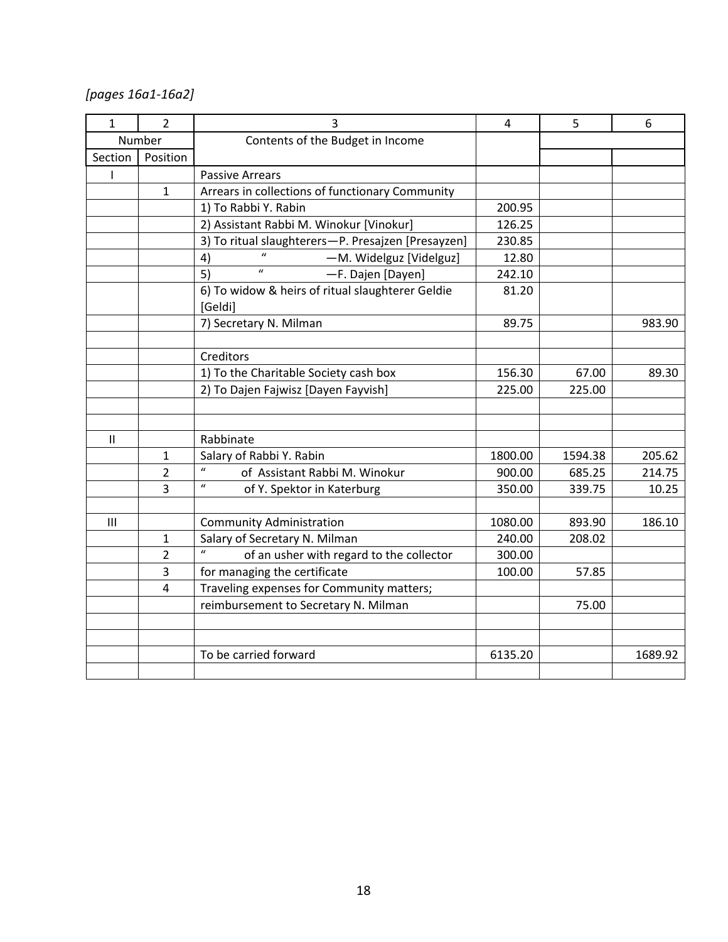*[pages 16a1-16a2]*

| $\mathbf{1}$ | $\overline{2}$ | 3                                                            | $\overline{4}$ | 5       | 6       |
|--------------|----------------|--------------------------------------------------------------|----------------|---------|---------|
| Number       |                | Contents of the Budget in Income                             |                |         |         |
| Section      | Position       |                                                              |                |         |         |
| ı            |                | <b>Passive Arrears</b>                                       |                |         |         |
|              | $\mathbf{1}$   | Arrears in collections of functionary Community              |                |         |         |
|              |                | 1) To Rabbi Y. Rabin                                         | 200.95         |         |         |
|              |                | 2) Assistant Rabbi M. Winokur [Vinokur]                      | 126.25         |         |         |
|              |                | 3) To ritual slaughterers-P. Presajzen [Presayzen]           | 230.85         |         |         |
|              |                | -M. Widelguz [Videlguz]<br>4)                                | 12.80          |         |         |
|              |                | $\mathbf{u}$<br>5)<br>-F. Dajen [Dayen]                      | 242.10         |         |         |
|              |                | 6) To widow & heirs of ritual slaughterer Geldie<br>[Geldi]  | 81.20          |         |         |
|              |                | 7) Secretary N. Milman                                       | 89.75          |         | 983.90  |
|              |                |                                                              |                |         |         |
|              |                | Creditors                                                    |                |         |         |
|              |                | 1) To the Charitable Society cash box                        | 156.30         | 67.00   | 89.30   |
|              |                | 2) To Dajen Fajwisz [Dayen Fayvish]                          | 225.00         | 225.00  |         |
|              |                |                                                              |                |         |         |
|              |                |                                                              |                |         |         |
| $\mathbf{H}$ |                | Rabbinate                                                    |                |         |         |
|              | 1              | Salary of Rabbi Y. Rabin                                     | 1800.00        | 1594.38 | 205.62  |
|              | $\overline{2}$ | $\boldsymbol{u}$<br>of Assistant Rabbi M. Winokur            | 900.00         | 685.25  | 214.75  |
|              | 3              | $\boldsymbol{u}$<br>of Y. Spektor in Katerburg               | 350.00         | 339.75  | 10.25   |
|              |                |                                                              |                |         |         |
| III          |                | <b>Community Administration</b>                              | 1080.00        | 893.90  | 186.10  |
|              | $\mathbf{1}$   | Salary of Secretary N. Milman                                | 240.00         | 208.02  |         |
|              | $\overline{2}$ | $\boldsymbol{u}$<br>of an usher with regard to the collector | 300.00         |         |         |
|              | 3              | for managing the certificate                                 | 100.00         | 57.85   |         |
|              | 4              | Traveling expenses for Community matters;                    |                |         |         |
|              |                | reimbursement to Secretary N. Milman                         |                | 75.00   |         |
|              |                |                                                              |                |         |         |
|              |                |                                                              |                |         |         |
|              |                | To be carried forward                                        | 6135.20        |         | 1689.92 |
|              |                |                                                              |                |         |         |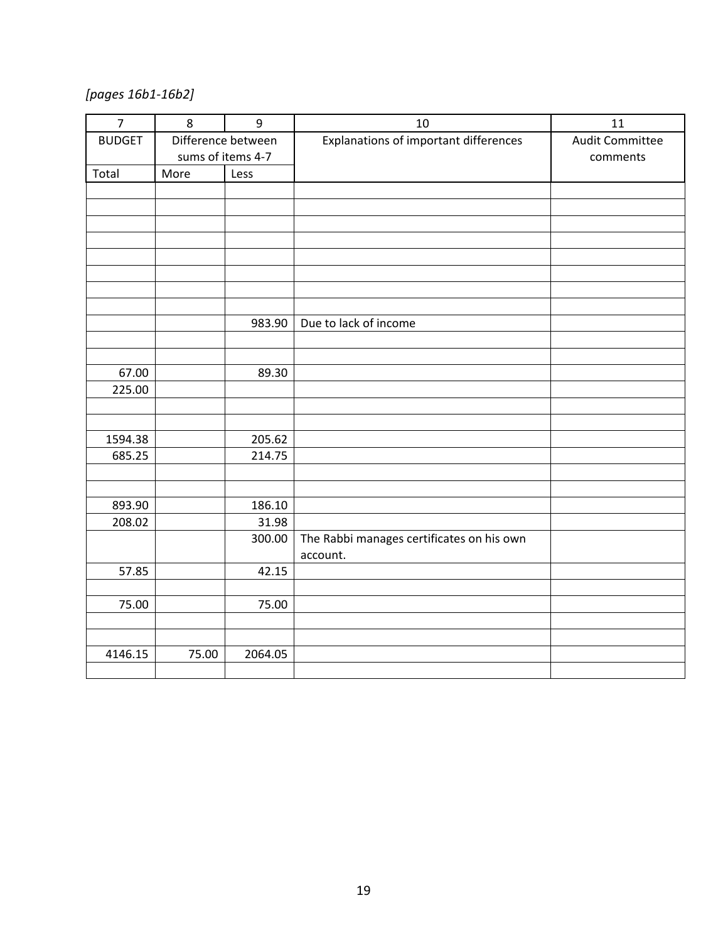*[pages 16b1-16b2]*

| Explanations of important differences<br><b>BUDGET</b><br><b>Audit Committee</b><br>Difference between<br>sums of items 4-7<br>comments<br>Total<br>More<br>Less<br>Due to lack of income<br>983.90<br>67.00<br>89.30<br>225.00<br>205.62<br>1594.38<br>685.25<br>214.75<br>186.10<br>893.90<br>208.02<br>31.98<br>The Rabbi manages certificates on his own<br>300.00<br>account.<br>57.85<br>42.15<br>75.00<br>75.00<br>4146.15<br>2064.05<br>75.00 | $\overline{7}$ | 8 | 9 | 10 | 11 |
|-------------------------------------------------------------------------------------------------------------------------------------------------------------------------------------------------------------------------------------------------------------------------------------------------------------------------------------------------------------------------------------------------------------------------------------------------------|----------------|---|---|----|----|
|                                                                                                                                                                                                                                                                                                                                                                                                                                                       |                |   |   |    |    |
|                                                                                                                                                                                                                                                                                                                                                                                                                                                       |                |   |   |    |    |
|                                                                                                                                                                                                                                                                                                                                                                                                                                                       |                |   |   |    |    |
|                                                                                                                                                                                                                                                                                                                                                                                                                                                       |                |   |   |    |    |
|                                                                                                                                                                                                                                                                                                                                                                                                                                                       |                |   |   |    |    |
|                                                                                                                                                                                                                                                                                                                                                                                                                                                       |                |   |   |    |    |
|                                                                                                                                                                                                                                                                                                                                                                                                                                                       |                |   |   |    |    |
|                                                                                                                                                                                                                                                                                                                                                                                                                                                       |                |   |   |    |    |
|                                                                                                                                                                                                                                                                                                                                                                                                                                                       |                |   |   |    |    |
|                                                                                                                                                                                                                                                                                                                                                                                                                                                       |                |   |   |    |    |
|                                                                                                                                                                                                                                                                                                                                                                                                                                                       |                |   |   |    |    |
|                                                                                                                                                                                                                                                                                                                                                                                                                                                       |                |   |   |    |    |
|                                                                                                                                                                                                                                                                                                                                                                                                                                                       |                |   |   |    |    |
|                                                                                                                                                                                                                                                                                                                                                                                                                                                       |                |   |   |    |    |
|                                                                                                                                                                                                                                                                                                                                                                                                                                                       |                |   |   |    |    |
|                                                                                                                                                                                                                                                                                                                                                                                                                                                       |                |   |   |    |    |
|                                                                                                                                                                                                                                                                                                                                                                                                                                                       |                |   |   |    |    |
|                                                                                                                                                                                                                                                                                                                                                                                                                                                       |                |   |   |    |    |
|                                                                                                                                                                                                                                                                                                                                                                                                                                                       |                |   |   |    |    |
|                                                                                                                                                                                                                                                                                                                                                                                                                                                       |                |   |   |    |    |
|                                                                                                                                                                                                                                                                                                                                                                                                                                                       |                |   |   |    |    |
|                                                                                                                                                                                                                                                                                                                                                                                                                                                       |                |   |   |    |    |
|                                                                                                                                                                                                                                                                                                                                                                                                                                                       |                |   |   |    |    |
|                                                                                                                                                                                                                                                                                                                                                                                                                                                       |                |   |   |    |    |
|                                                                                                                                                                                                                                                                                                                                                                                                                                                       |                |   |   |    |    |
|                                                                                                                                                                                                                                                                                                                                                                                                                                                       |                |   |   |    |    |
|                                                                                                                                                                                                                                                                                                                                                                                                                                                       |                |   |   |    |    |
|                                                                                                                                                                                                                                                                                                                                                                                                                                                       |                |   |   |    |    |
|                                                                                                                                                                                                                                                                                                                                                                                                                                                       |                |   |   |    |    |
|                                                                                                                                                                                                                                                                                                                                                                                                                                                       |                |   |   |    |    |
|                                                                                                                                                                                                                                                                                                                                                                                                                                                       |                |   |   |    |    |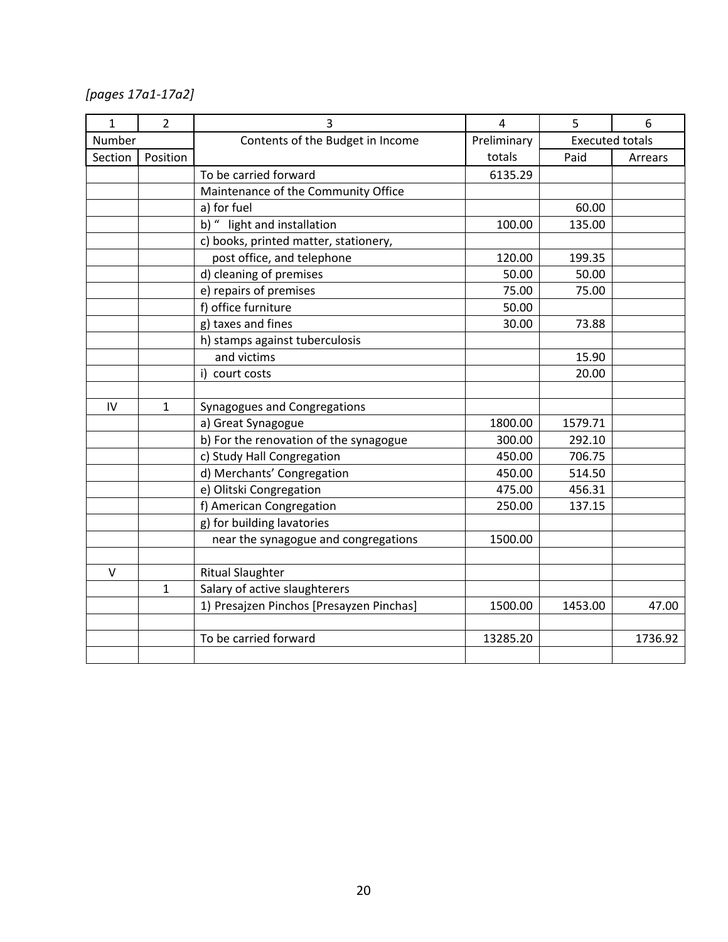*[pages 17a1-17a2]*

| $\mathbf{1}$ | $\overline{2}$ | 3<br>5<br>4                              |                                       | 6       |         |
|--------------|----------------|------------------------------------------|---------------------------------------|---------|---------|
| Number       |                | Contents of the Budget in Income         | Preliminary<br><b>Executed totals</b> |         |         |
| Section      | Position       |                                          | totals                                | Paid    | Arrears |
|              |                | To be carried forward                    | 6135.29                               |         |         |
|              |                | Maintenance of the Community Office      |                                       |         |         |
|              |                | a) for fuel                              |                                       | 60.00   |         |
|              |                | b) " light and installation              | 100.00                                | 135.00  |         |
|              |                | c) books, printed matter, stationery,    |                                       |         |         |
|              |                | post office, and telephone               | 120.00                                | 199.35  |         |
|              |                | d) cleaning of premises                  | 50.00                                 | 50.00   |         |
|              |                | e) repairs of premises                   | 75.00                                 | 75.00   |         |
|              |                | f) office furniture                      | 50.00                                 |         |         |
|              |                | g) taxes and fines                       | 30.00                                 | 73.88   |         |
|              |                | h) stamps against tuberculosis           |                                       |         |         |
|              |                | and victims                              |                                       | 15.90   |         |
|              |                | i) court costs                           |                                       | 20.00   |         |
|              |                |                                          |                                       |         |         |
| IV           | $\mathbf{1}$   | Synagogues and Congregations             |                                       |         |         |
|              |                | a) Great Synagogue                       | 1800.00                               | 1579.71 |         |
|              |                | b) For the renovation of the synagogue   | 300.00                                | 292.10  |         |
|              |                | c) Study Hall Congregation               | 450.00                                | 706.75  |         |
|              |                | d) Merchants' Congregation               | 450.00                                | 514.50  |         |
|              |                | e) Olitski Congregation                  | 475.00                                | 456.31  |         |
|              |                | f) American Congregation                 | 250.00                                | 137.15  |         |
|              |                | g) for building lavatories               |                                       |         |         |
|              |                | near the synagogue and congregations     | 1500.00                               |         |         |
|              |                |                                          |                                       |         |         |
| V            |                | <b>Ritual Slaughter</b>                  |                                       |         |         |
|              | $\mathbf{1}$   | Salary of active slaughterers            |                                       |         |         |
|              |                | 1) Presajzen Pinchos [Presayzen Pinchas] | 1500.00                               | 1453.00 | 47.00   |
|              |                |                                          |                                       |         |         |
|              |                | To be carried forward                    | 13285.20                              |         | 1736.92 |
|              |                |                                          |                                       |         |         |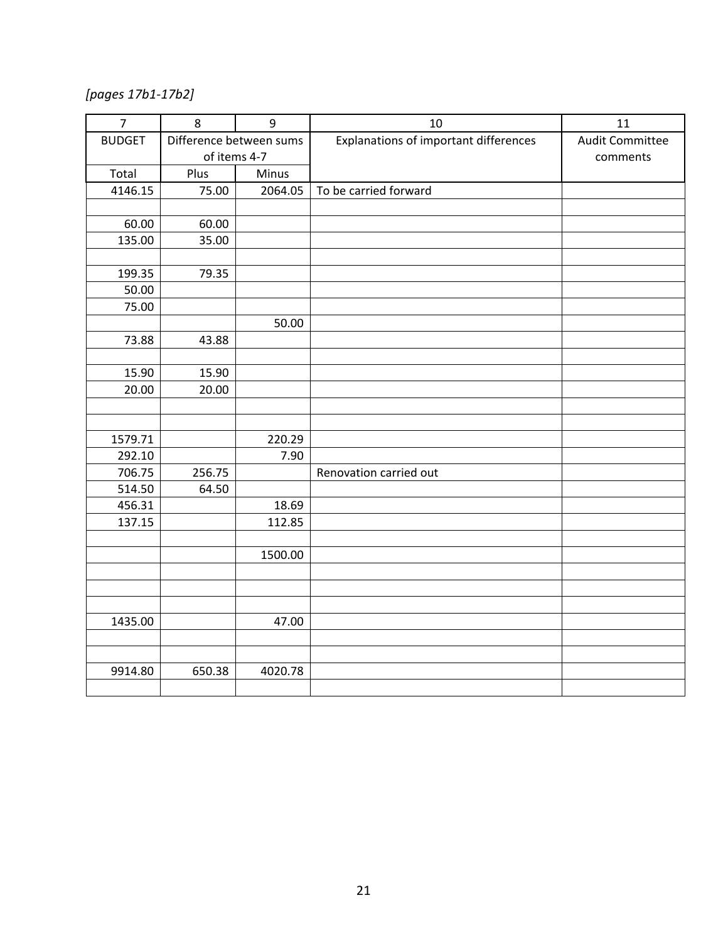*[pages 17b1-17b2]*

| $\overline{7}$ | 8                       | 9       | 10                                    | 11                     |
|----------------|-------------------------|---------|---------------------------------------|------------------------|
| <b>BUDGET</b>  | Difference between sums |         | Explanations of important differences | <b>Audit Committee</b> |
|                | of items 4-7            |         |                                       | comments               |
| Total          | Plus                    | Minus   |                                       |                        |
| 4146.15        | 75.00                   | 2064.05 | To be carried forward                 |                        |
|                |                         |         |                                       |                        |
| 60.00          | 60.00                   |         |                                       |                        |
| 135.00         | 35.00                   |         |                                       |                        |
|                |                         |         |                                       |                        |
| 199.35         | 79.35                   |         |                                       |                        |
| 50.00          |                         |         |                                       |                        |
| 75.00          |                         |         |                                       |                        |
|                |                         | 50.00   |                                       |                        |
| 73.88          | 43.88                   |         |                                       |                        |
|                |                         |         |                                       |                        |
| 15.90          | 15.90                   |         |                                       |                        |
| 20.00          | 20.00                   |         |                                       |                        |
|                |                         |         |                                       |                        |
|                |                         |         |                                       |                        |
| 1579.71        |                         | 220.29  |                                       |                        |
| 292.10         |                         | 7.90    |                                       |                        |
| 706.75         | 256.75                  |         | Renovation carried out                |                        |
| 514.50         | 64.50                   |         |                                       |                        |
| 456.31         |                         | 18.69   |                                       |                        |
| 137.15         |                         | 112.85  |                                       |                        |
|                |                         |         |                                       |                        |
|                |                         | 1500.00 |                                       |                        |
|                |                         |         |                                       |                        |
|                |                         |         |                                       |                        |
|                |                         |         |                                       |                        |
| 1435.00        |                         | 47.00   |                                       |                        |
|                |                         |         |                                       |                        |
| 9914.80        | 650.38                  | 4020.78 |                                       |                        |
|                |                         |         |                                       |                        |
|                |                         |         |                                       |                        |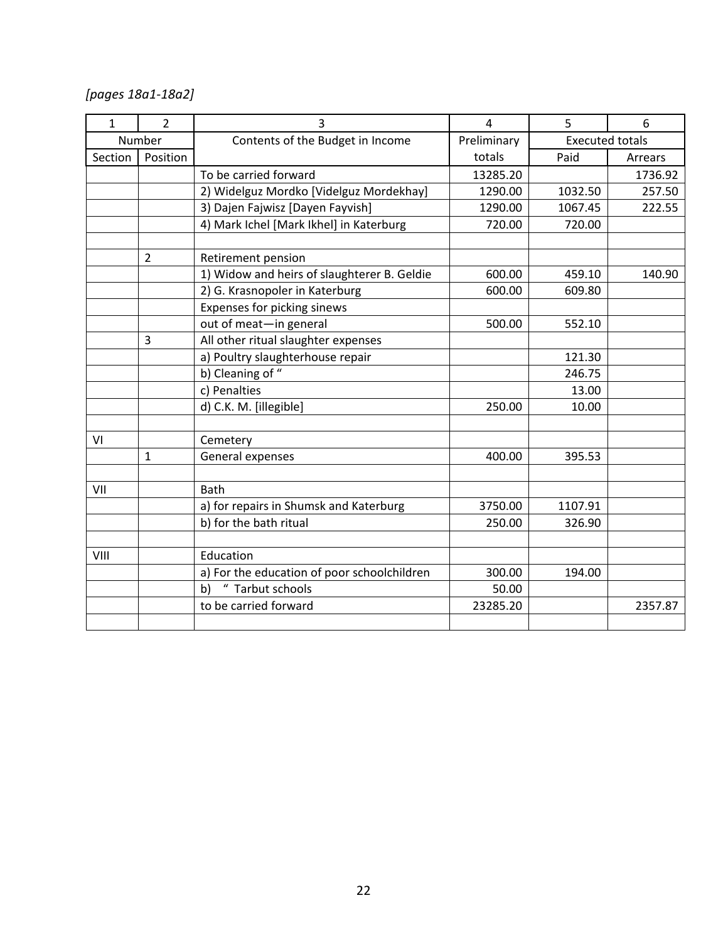*[pages 18a1-18a2]*

| $\mathbf{1}$ | $\overline{2}$ | 3                                           | $\overline{4}$ | 5                      | 6       |
|--------------|----------------|---------------------------------------------|----------------|------------------------|---------|
|              | Number         | Contents of the Budget in Income            | Preliminary    | <b>Executed totals</b> |         |
| Section      | Position       | totals                                      |                | Paid                   | Arrears |
|              |                | To be carried forward                       | 13285.20       |                        | 1736.92 |
|              |                | 2) Widelguz Mordko [Videlguz Mordekhay]     | 1290.00        | 1032.50                | 257.50  |
|              |                | 3) Dajen Fajwisz [Dayen Fayvish]            | 1290.00        | 1067.45                | 222.55  |
|              |                | 4) Mark Ichel [Mark Ikhel] in Katerburg     | 720.00         | 720.00                 |         |
|              |                |                                             |                |                        |         |
|              | $\overline{2}$ | Retirement pension                          |                |                        |         |
|              |                | 1) Widow and heirs of slaughterer B. Geldie | 600.00         | 459.10                 | 140.90  |
|              |                | 2) G. Krasnopoler in Katerburg              | 600.00         | 609.80                 |         |
|              |                | Expenses for picking sinews                 |                |                        |         |
|              |                | out of meat-in general                      | 500.00         | 552.10                 |         |
|              | 3              | All other ritual slaughter expenses         |                |                        |         |
|              |                | a) Poultry slaughterhouse repair            |                | 121.30                 |         |
|              |                | b) Cleaning of "                            |                | 246.75                 |         |
|              |                | c) Penalties                                |                | 13.00                  |         |
|              |                | d) C.K. M. [illegible]                      | 250.00         | 10.00                  |         |
|              |                |                                             |                |                        |         |
| VI           |                | Cemetery                                    |                |                        |         |
|              | $\mathbf{1}$   | General expenses                            | 400.00         | 395.53                 |         |
| VII          |                | <b>Bath</b>                                 |                |                        |         |
|              |                | a) for repairs in Shumsk and Katerburg      | 3750.00        | 1107.91                |         |
|              |                | b) for the bath ritual                      | 250.00         | 326.90                 |         |
|              |                |                                             |                |                        |         |
| VIII         |                | Education                                   |                |                        |         |
|              |                | a) For the education of poor schoolchildren | 300.00         | 194.00                 |         |
|              |                | " Tarbut schools<br>b)                      | 50.00          |                        |         |
|              |                | to be carried forward                       | 23285.20       |                        | 2357.87 |
|              |                |                                             |                |                        |         |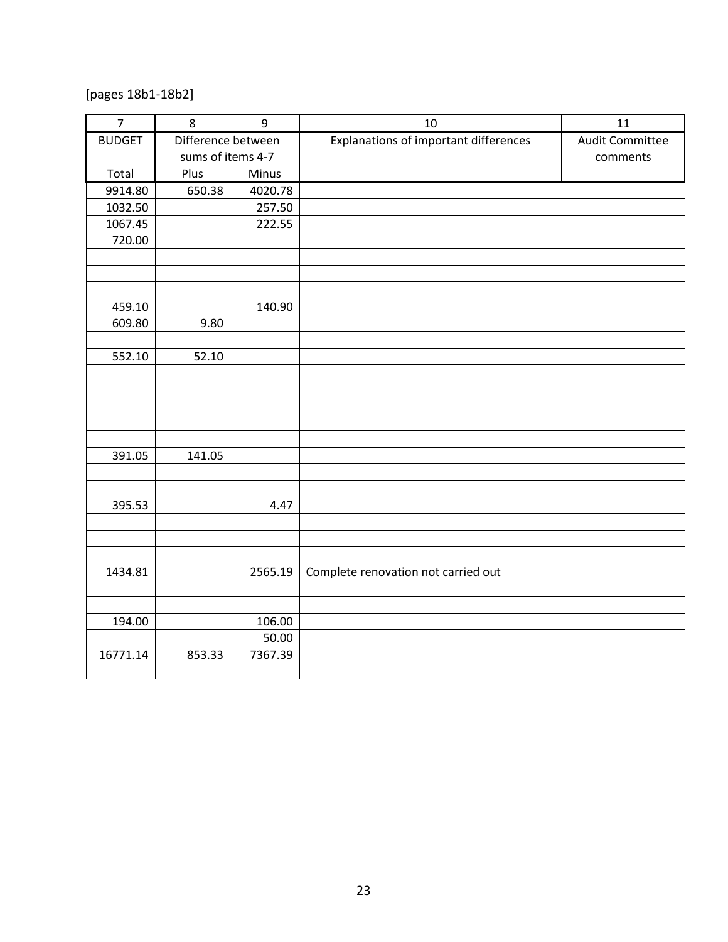[pages 18b1-18b2]

| $\overline{7}$ | 8                  | 9       | 10                                    | 11                     |
|----------------|--------------------|---------|---------------------------------------|------------------------|
| <b>BUDGET</b>  | Difference between |         | Explanations of important differences | <b>Audit Committee</b> |
|                | sums of items 4-7  |         |                                       | comments               |
| Total          | Plus               | Minus   |                                       |                        |
| 9914.80        | 650.38             | 4020.78 |                                       |                        |
| 1032.50        |                    | 257.50  |                                       |                        |
| 1067.45        |                    | 222.55  |                                       |                        |
| 720.00         |                    |         |                                       |                        |
|                |                    |         |                                       |                        |
|                |                    |         |                                       |                        |
|                |                    |         |                                       |                        |
| 459.10         |                    | 140.90  |                                       |                        |
| 609.80         | 9.80               |         |                                       |                        |
|                |                    |         |                                       |                        |
| 552.10         | 52.10              |         |                                       |                        |
|                |                    |         |                                       |                        |
|                |                    |         |                                       |                        |
|                |                    |         |                                       |                        |
|                |                    |         |                                       |                        |
| 391.05         | 141.05             |         |                                       |                        |
|                |                    |         |                                       |                        |
|                |                    |         |                                       |                        |
| 395.53         |                    | 4.47    |                                       |                        |
|                |                    |         |                                       |                        |
|                |                    |         |                                       |                        |
|                |                    |         |                                       |                        |
| 1434.81        |                    | 2565.19 | Complete renovation not carried out   |                        |
|                |                    |         |                                       |                        |
|                |                    |         |                                       |                        |
| 194.00         |                    | 106.00  |                                       |                        |
|                |                    | 50.00   |                                       |                        |
| 16771.14       | 853.33             | 7367.39 |                                       |                        |
|                |                    |         |                                       |                        |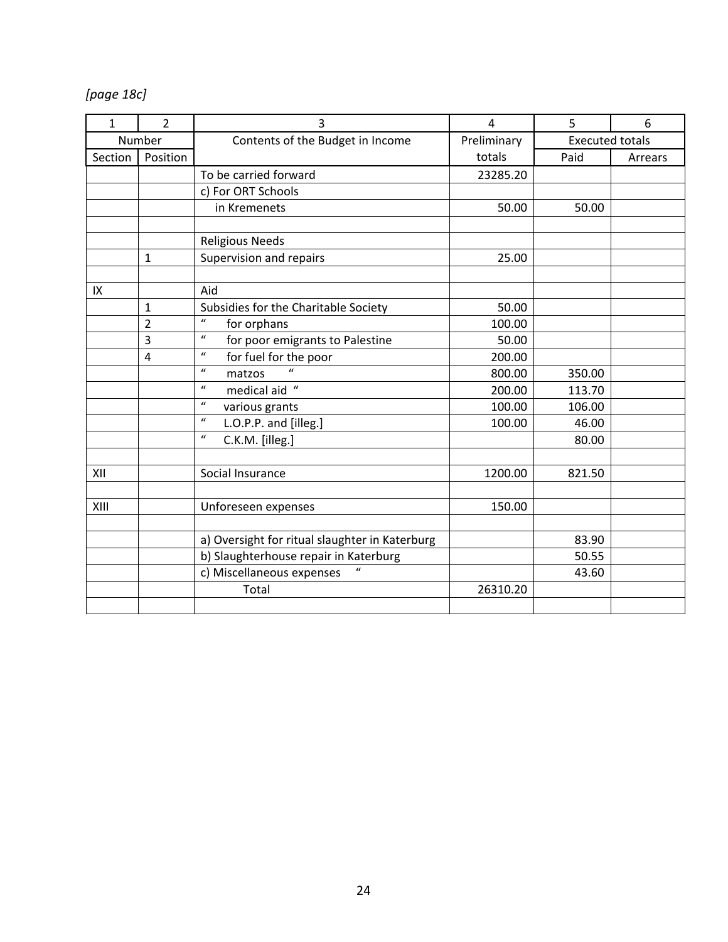*[page 18c]*

| $\mathbf{1}$ | $\overline{2}$ | 3                                               | 4                                     | 5      | 6       |
|--------------|----------------|-------------------------------------------------|---------------------------------------|--------|---------|
|              | Number         | Contents of the Budget in Income                | Preliminary<br><b>Executed totals</b> |        |         |
| Section      | Position       |                                                 | totals                                | Paid   | Arrears |
|              |                | To be carried forward                           | 23285.20                              |        |         |
|              |                | c) For ORT Schools                              |                                       |        |         |
|              |                | in Kremenets                                    | 50.00                                 | 50.00  |         |
|              |                |                                                 |                                       |        |         |
|              |                | <b>Religious Needs</b>                          |                                       |        |         |
|              | $\mathbf{1}$   | Supervision and repairs                         | 25.00                                 |        |         |
|              |                |                                                 |                                       |        |         |
| IX           |                | Aid                                             |                                       |        |         |
|              | $\mathbf{1}$   | Subsidies for the Charitable Society            | 50.00                                 |        |         |
|              | $\overline{2}$ | $\mathbf{u}$<br>for orphans                     | 100.00                                |        |         |
|              | 3              | $\mathbf{u}$<br>for poor emigrants to Palestine | 50.00                                 |        |         |
|              | 4              | $\boldsymbol{u}$<br>for fuel for the poor       | 200.00                                |        |         |
|              |                | $\mathbf{u}$<br>matzos                          | 800.00                                | 350.00 |         |
|              |                | $\boldsymbol{u}$<br>medical aid "               | 200.00                                | 113.70 |         |
|              |                | $\boldsymbol{u}$<br>various grants              | 100.00                                | 106.00 |         |
|              |                | $\boldsymbol{u}$<br>L.O.P.P. and [illeg.]       | 100.00                                | 46.00  |         |
|              |                | $\boldsymbol{u}$<br>C.K.M. [illeg.]             |                                       | 80.00  |         |
|              |                |                                                 |                                       |        |         |
| XII          |                | Social Insurance                                | 1200.00                               | 821.50 |         |
|              |                |                                                 |                                       |        |         |
| XIII         |                | Unforeseen expenses                             | 150.00                                |        |         |
|              |                |                                                 |                                       |        |         |
|              |                | a) Oversight for ritual slaughter in Katerburg  |                                       | 83.90  |         |
|              |                | b) Slaughterhouse repair in Katerburg           |                                       | 50.55  |         |
|              |                | c) Miscellaneous expenses                       |                                       | 43.60  |         |
|              |                | Total                                           | 26310.20                              |        |         |
|              |                |                                                 |                                       |        |         |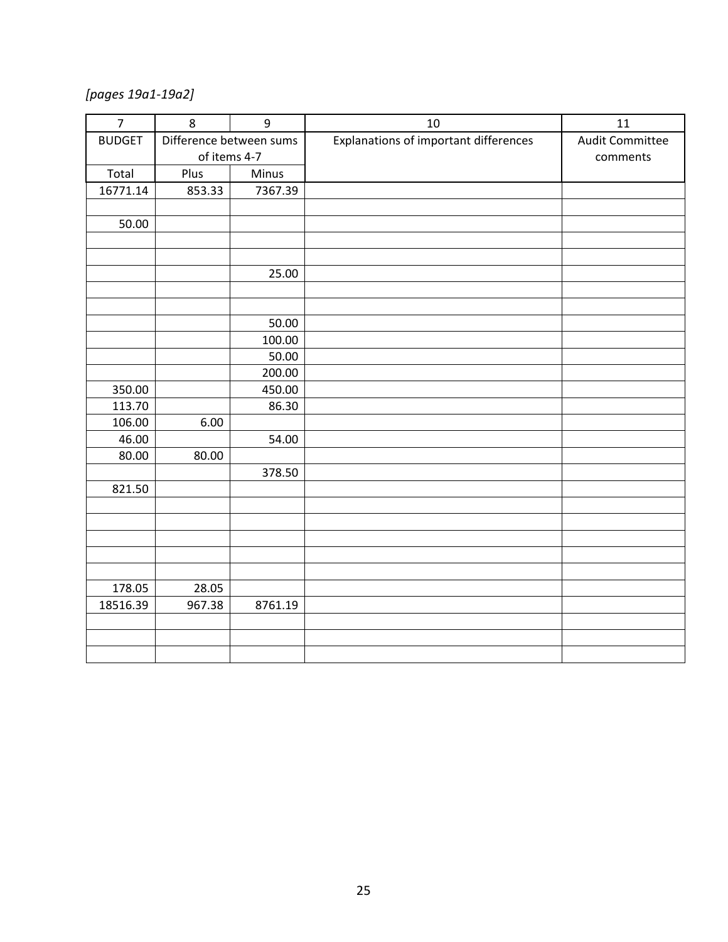*[pages 19a1-19a2]*

| $\overline{7}$ | 8                       | $\mathsf g$ | 10                                    | 11                     |
|----------------|-------------------------|-------------|---------------------------------------|------------------------|
| <b>BUDGET</b>  | Difference between sums |             | Explanations of important differences | <b>Audit Committee</b> |
|                | of items 4-7            |             |                                       | comments               |
| Total          | Plus                    | Minus       |                                       |                        |
| 16771.14       | 853.33                  | 7367.39     |                                       |                        |
|                |                         |             |                                       |                        |
| 50.00          |                         |             |                                       |                        |
|                |                         |             |                                       |                        |
|                |                         |             |                                       |                        |
|                |                         | 25.00       |                                       |                        |
|                |                         |             |                                       |                        |
|                |                         | 50.00       |                                       |                        |
|                |                         | 100.00      |                                       |                        |
|                |                         | 50.00       |                                       |                        |
|                |                         | 200.00      |                                       |                        |
| 350.00         |                         | 450.00      |                                       |                        |
| 113.70         |                         | 86.30       |                                       |                        |
| 106.00         | 6.00                    |             |                                       |                        |
| 46.00          |                         | 54.00       |                                       |                        |
| 80.00          | 80.00                   |             |                                       |                        |
|                |                         | 378.50      |                                       |                        |
| 821.50         |                         |             |                                       |                        |
|                |                         |             |                                       |                        |
|                |                         |             |                                       |                        |
|                |                         |             |                                       |                        |
|                |                         |             |                                       |                        |
| 178.05         | 28.05                   |             |                                       |                        |
| 18516.39       | 967.38                  | 8761.19     |                                       |                        |
|                |                         |             |                                       |                        |
|                |                         |             |                                       |                        |
|                |                         |             |                                       |                        |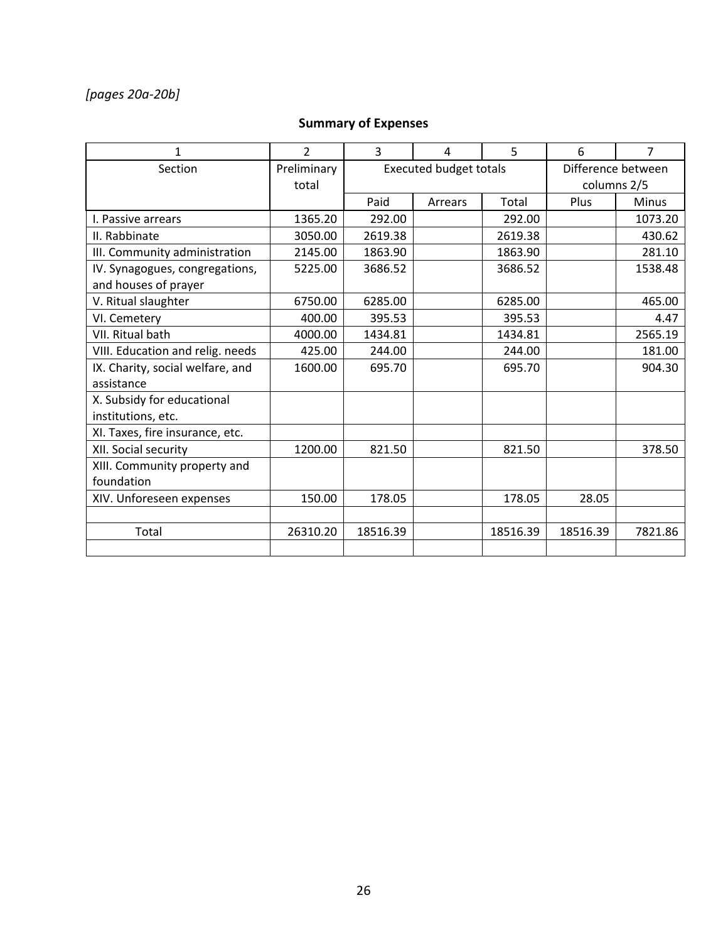# *[pages 20a-20b]*

#### **Summary of Expenses**

| 1                                | $\overline{2}$ | 3        | 4                             | 5                  | 6           | 7            |
|----------------------------------|----------------|----------|-------------------------------|--------------------|-------------|--------------|
| Section                          | Preliminary    |          | <b>Executed budget totals</b> | Difference between |             |              |
|                                  | total          |          |                               |                    | columns 2/5 |              |
|                                  |                | Paid     | Arrears                       | Total              | Plus        | <b>Minus</b> |
| I. Passive arrears               | 1365.20        | 292.00   |                               | 292.00             |             | 1073.20      |
| II. Rabbinate                    | 3050.00        | 2619.38  |                               | 2619.38            |             | 430.62       |
| III. Community administration    | 2145.00        | 1863.90  |                               | 1863.90            |             | 281.10       |
| IV. Synagogues, congregations,   | 5225.00        | 3686.52  |                               | 3686.52            |             | 1538.48      |
| and houses of prayer             |                |          |                               |                    |             |              |
| V. Ritual slaughter              | 6750.00        | 6285.00  |                               | 6285.00            |             | 465.00       |
| VI. Cemetery                     | 400.00         | 395.53   |                               | 395.53             |             | 4.47         |
| VII. Ritual bath                 | 4000.00        | 1434.81  |                               | 1434.81            |             | 2565.19      |
| VIII. Education and relig. needs | 425.00         | 244.00   |                               | 244.00             |             | 181.00       |
| IX. Charity, social welfare, and | 1600.00        | 695.70   |                               | 695.70             |             | 904.30       |
| assistance                       |                |          |                               |                    |             |              |
| X. Subsidy for educational       |                |          |                               |                    |             |              |
| institutions, etc.               |                |          |                               |                    |             |              |
| XI. Taxes, fire insurance, etc.  |                |          |                               |                    |             |              |
| XII. Social security             | 1200.00        | 821.50   |                               | 821.50             |             | 378.50       |
| XIII. Community property and     |                |          |                               |                    |             |              |
| foundation                       |                |          |                               |                    |             |              |
| XIV. Unforeseen expenses         | 150.00         | 178.05   |                               | 178.05             | 28.05       |              |
|                                  |                |          |                               |                    |             |              |
| Total                            | 26310.20       | 18516.39 |                               | 18516.39           | 18516.39    | 7821.86      |
|                                  |                |          |                               |                    |             |              |